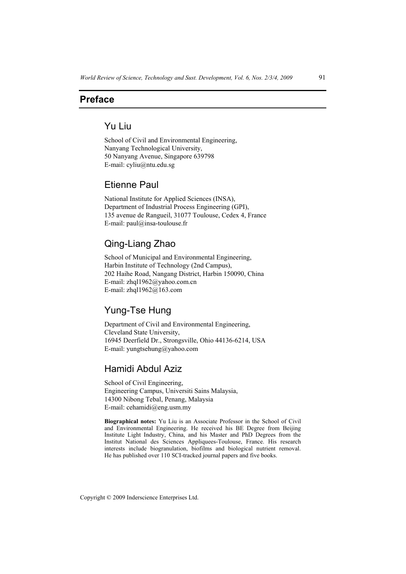## **Preface**

# Yu Liu

School of Civil and Environmental Engineering, Nanyang Technological University, 50 Nanyang Avenue, Singapore 639798 E-mail: cyliu@ntu.edu.sg

# Etienne Paul

National Institute for Applied Sciences (INSA), Department of Industrial Process Engineering (GPI), 135 avenue de Rangueil, 31077 Toulouse, Cedex 4, France E-mail: paul@insa-toulouse.fr

# Qing-Liang Zhao

School of Municipal and Environmental Engineering, Harbin Institute of Technology (2nd Campus), 202 Haihe Road, Nangang District, Harbin 150090, China E-mail: zhql1962@yahoo.com.cn E-mail: zhql1962@163.com

# Yung-Tse Hung

Department of Civil and Environmental Engineering, Cleveland State University, 16945 Deerfield Dr., Strongsville, Ohio 44136-6214, USA E-mail: yungtsehung@yahoo.com

#### Hamidi Abdul Aziz

School of Civil Engineering, Engineering Campus, Universiti Sains Malaysia, 14300 Nibong Tebal, Penang, Malaysia E-mail: cehamidi@eng.usm.my

**Biographical notes:** Yu Liu is an Associate Professor in the School of Civil and Environmental Engineering. He received his BE Degree from Beijing Institute Light Industry, China, and his Master and PhD Degrees from the Institut National des Sciences Appliquees-Toulouse, France. His research interests include biogranulation, biofilms and biological nutrient removal. He has published over 110 SCI-tracked journal papers and five books.